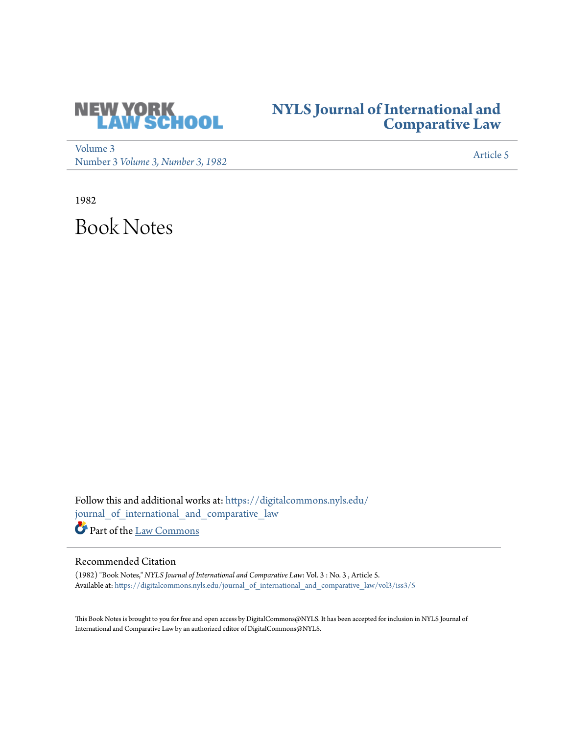

## **[NYLS Journal of International and](https://digitalcommons.nyls.edu/journal_of_international_and_comparative_law?utm_source=digitalcommons.nyls.edu%2Fjournal_of_international_and_comparative_law%2Fvol3%2Fiss3%2F5&utm_medium=PDF&utm_campaign=PDFCoverPages) [Comparative Law](https://digitalcommons.nyls.edu/journal_of_international_and_comparative_law?utm_source=digitalcommons.nyls.edu%2Fjournal_of_international_and_comparative_law%2Fvol3%2Fiss3%2F5&utm_medium=PDF&utm_campaign=PDFCoverPages)**

[Volume 3](https://digitalcommons.nyls.edu/journal_of_international_and_comparative_law/vol3?utm_source=digitalcommons.nyls.edu%2Fjournal_of_international_and_comparative_law%2Fvol3%2Fiss3%2F5&utm_medium=PDF&utm_campaign=PDFCoverPages) volume 3<br>Number 3 *[Volume 3, Number 3, 1982](https://digitalcommons.nyls.edu/journal_of_international_and_comparative_law/vol3/iss3?utm_source=digitalcommons.nyls.edu%2Fjournal_of_international_and_comparative_law%2Fvol3%2Fiss3%2F5&utm_medium=PDF&utm_campaign=PDFCoverPages)* [Article 5](https://digitalcommons.nyls.edu/journal_of_international_and_comparative_law/vol3/iss3/5?utm_source=digitalcommons.nyls.edu%2Fjournal_of_international_and_comparative_law%2Fvol3%2Fiss3%2F5&utm_medium=PDF&utm_campaign=PDFCoverPages)

1982

Book Notes

Follow this and additional works at: [https://digitalcommons.nyls.edu/](https://digitalcommons.nyls.edu/journal_of_international_and_comparative_law?utm_source=digitalcommons.nyls.edu%2Fjournal_of_international_and_comparative_law%2Fvol3%2Fiss3%2F5&utm_medium=PDF&utm_campaign=PDFCoverPages) [journal\\_of\\_international\\_and\\_comparative\\_law](https://digitalcommons.nyls.edu/journal_of_international_and_comparative_law?utm_source=digitalcommons.nyls.edu%2Fjournal_of_international_and_comparative_law%2Fvol3%2Fiss3%2F5&utm_medium=PDF&utm_campaign=PDFCoverPages)

Part of the [Law Commons](http://network.bepress.com/hgg/discipline/578?utm_source=digitalcommons.nyls.edu%2Fjournal_of_international_and_comparative_law%2Fvol3%2Fiss3%2F5&utm_medium=PDF&utm_campaign=PDFCoverPages)

## Recommended Citation

(1982) "Book Notes," *NYLS Journal of International and Comparative Law*: Vol. 3 : No. 3 , Article 5. Available at: [https://digitalcommons.nyls.edu/journal\\_of\\_international\\_and\\_comparative\\_law/vol3/iss3/5](https://digitalcommons.nyls.edu/journal_of_international_and_comparative_law/vol3/iss3/5?utm_source=digitalcommons.nyls.edu%2Fjournal_of_international_and_comparative_law%2Fvol3%2Fiss3%2F5&utm_medium=PDF&utm_campaign=PDFCoverPages)

This Book Notes is brought to you for free and open access by DigitalCommons@NYLS. It has been accepted for inclusion in NYLS Journal of International and Comparative Law by an authorized editor of DigitalCommons@NYLS.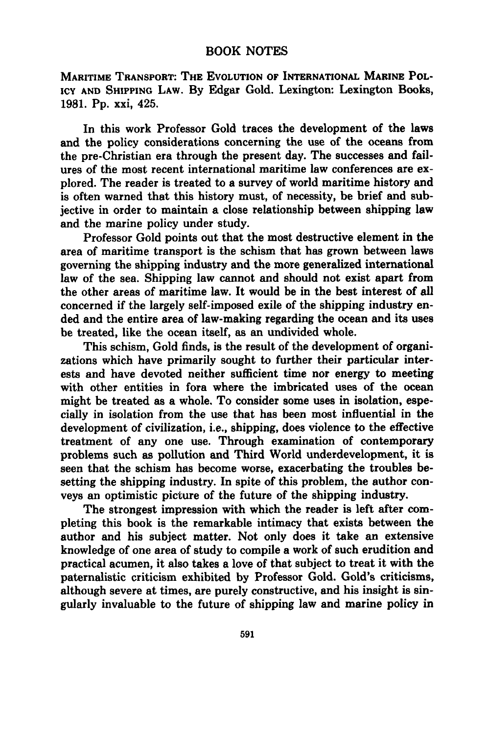## BOOK NOTES

MARITIME TRANSPORT: THE **EVOLUTION** OF INTERNATIONAL MARINE POL-ICY **AND SHIPPING** LAW. **By** Edgar Gold. Lexington: Lexington Books, **1981. Pp.** xxi, 425.

In this work Professor Gold traces the development of the laws and the policy considerations concerning the use of the oceans from the pre-Christian era through the present day. The successes and failures of the most recent international maritime law conferences are explored. The reader is treated to a survey of world maritime history and is often warned that this history must, of necessity, be brief and subjective in order to maintain a close relationship between shipping law and the marine policy under study.

Professor Gold points out that the most destructive element in the area of maritime transport is the schism that has grown between laws governing the shipping industry and the more generalized international law of the sea. Shipping law cannot and should not exist apart from the other areas of maritime law. It would be in the best interest of all concerned if the largely self-imposed exile of the shipping industry ended and the entire area of law-making regarding the ocean and its uses be treated, like the ocean itself, as an undivided whole.

This schism, Gold finds, is the result of the development of organizations which have primarily sought to further their particular interests and have devoted neither sufficient time nor energy to meeting with other entities in fora where the imbricated uses of the ocean might be treated as a whole. To consider some uses in isolation, especially in isolation from the use that has been most influential in the development of civilization, i.e., shipping, does violence to the effective treatment of any one use. Through examination of contemporary problems such as pollution and Third World underdevelopment, it is seen that the schism has become worse, exacerbating the troubles besetting the shipping industry. In spite of this problem, the author conveys an optimistic picture of the future of the shipping industry.

The strongest impression with which the reader is left after completing this book is the remarkable intimacy that exists between the author and his subject matter. Not only does it take an extensive knowledge of one area of study to compile a work of such erudition and practical acumen, it also takes a love of that subject to treat it with the paternalistic criticism exhibited **by** Professor Gold. Gold's criticisms, although severe at times, are purely constructive, and his insight is singularly invaluable to the future of shipping law and marine policy in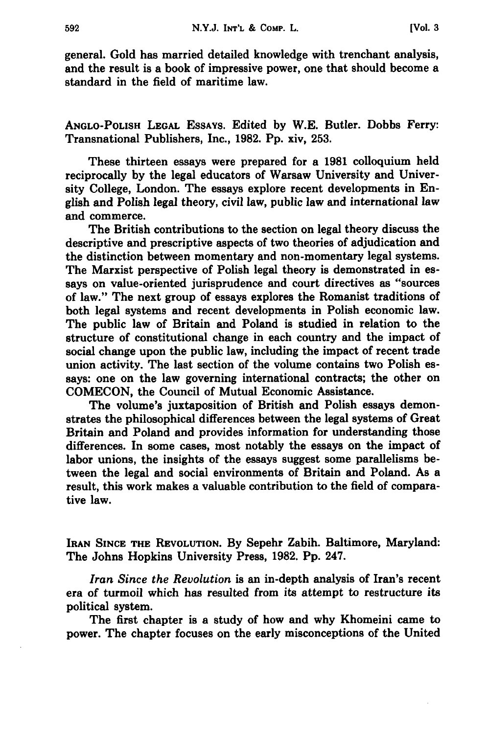general. Gold has married detailed knowledge with trenchant analysis, and the result is a book of impressive power, one that should become a standard in the field of maritime law.

**ANGLO-POLISH LEGAL ESSAYS.** Edited **by** W.E. Butler. Dobbs Ferry: Transnational Publishers, Inc., **1982. Pp.** xiv, **253.**

These thirteen essays were prepared for a **1981** colloquium held reciprocally **by** the legal educators of Warsaw University and University College, London. The essays explore recent developments in English and Polish legal theory, civil law, public law and international law and commerce.

The British contributions to the section on legal theory discuss the descriptive and prescriptive aspects of two theories of adjudication and the distinction between momentary and non-momentary legal systems. The Marxist perspective of Polish legal theory is demonstrated in essays on value-oriented jurisprudence and court directives as "sources of law." The next group of essays explores the Romanist traditions of both legal systems and recent developments in Polish economic law. The public law of Britain and Poland is studied in relation to the structure of constitutional change in each country and the impact of social change upon the public law, including the impact of recent trade union activity. The last section of the volume contains two Polish essays: one on the law governing international contracts; the other on **COMECON,** the Council of Mutual Economic Assistance.

The volume's juxtaposition of British and Polish essays demonstrates the philosophical differences between the legal systems of Great Britain and Poland and provides information for understanding those differences. In some cases, most notably the essays on the impact of labor unions, the insights of the essays suggest some parallelisms between the legal and social environments of Britain and Poland. As a result, this work makes a valuable contribution to the field of comparative law.

**IRAN SINCE THE REVOLUTION. By** Sepehr Zabih. Baltimore, Maryland: The Johns Hopkins University Press, **1982. Pp.** 247.

*Iran Since the Revolution* is an in-depth analysis of Iran's recent era of turmoil which has resulted from its attempt to restructure its political system.

The first chapter is a study of how and why Khomeini came to power. The chapter focuses on the early misconceptions of the United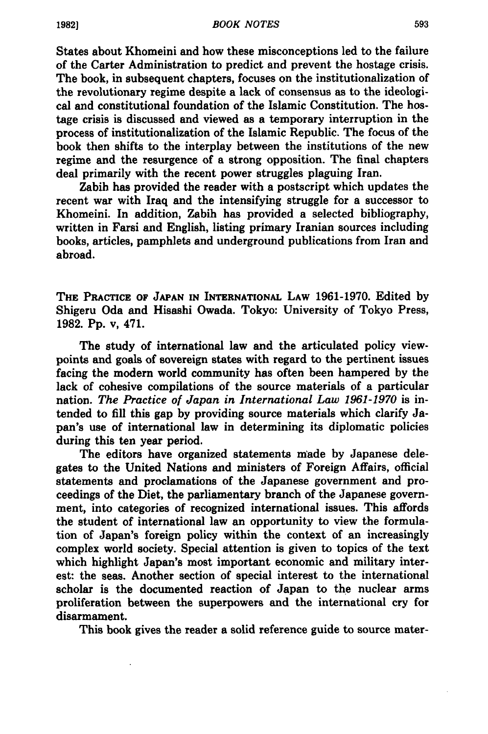States about Khomeini and how these misconceptions led to the failure of the Carter Administration to predict and prevent the hostage crisis. The book, in subsequent chapters, focuses on the institutionalization of the revolutionary regime despite a lack of consensus as to the ideological and constitutional foundation of the Islamic Constitution. The hostage crisis is discussed and viewed as a temporary interruption in the process of institutionalization of the Islamic Republic. The focus of the book then shifts to the interplay between the institutions of the new regime and the resurgence of a strong opposition. The final chapters deal primarily with the recent power struggles plaguing Iran.

Zabih has provided the reader with a postscript which updates the recent war with Iraq and the intensifying struggle for a successor to Khomeini. In addition, Zabih has provided a selected bibliography, written in Farsi and English, listing primary Iranian sources including books, articles, pamphlets and underground publications from Iran and abroad.

THE PACCTICE **OF JAPAN IN INTERNATIONAL LAW 1961-1970.** Edited **by** Shigeru Oda and Hisashi Owada. Tokyo: University of Tokyo Press, **1982. Pp.** v, 471.

The study of international law and the articulated policy viewpoints and goals of sovereign states with regard to the pertinent issues facing the modern world community has often been hampered **by** the lack of cohesive compilations of the source materials of a particular nation. *The Practice of Japan in International Law 1961-1970* is intended to **fill** this gap **by** providing source materials which clarify Japan's use of international law in determining its diplomatic policies during this ten year period.

The editors have organized statements made **by** Japanese delegates to the United Nations and ministers of Foreign Affairs, official statements and proclamations of the Japanese government and proceedings of the Diet, the parliamentary branch of the Japanese government, into categories of recognized international issues. This affords the student of international law an opportunity to view the formulation of Japan's foreign policy within the context of an increasingly complex world society. Special attention is given to topics of the text which highlight Japan's most important economic and military interest: the seas. Another section of special interest to the international scholar is the documented reaction of Japan to the nuclear arms proliferation between the superpowers and the international cry for disarmament.

This book gives the reader a solid reference guide to source mater-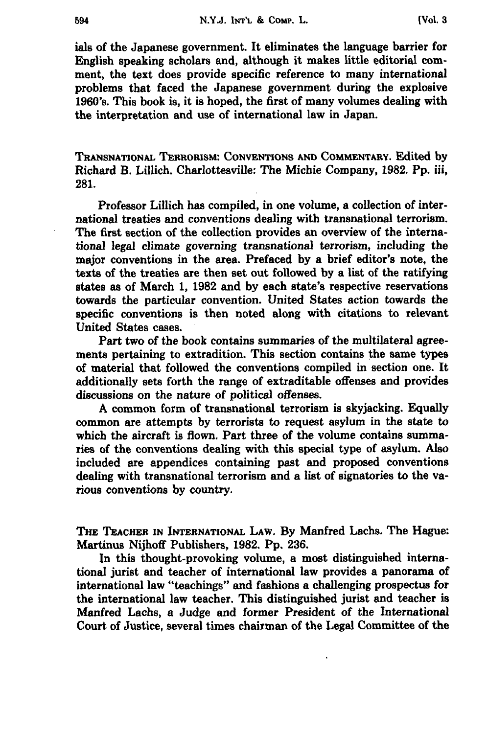ials of the Japanese government. It eliminates the language barrier for English speaking scholars and, although it makes little editorial comment, the text does provide specific reference to many international problems that faced the Japanese government during the explosive 1960's. This book is, it is hoped, the first of many volumes dealing with the interpretation and use of international law in Japan.

**TRANSNATIONAL TERRORISM: CONVENTIONS AND COMMENTARY.** Edited **by** Richard B. Lillich. Charlottesville: The Michie Company, **1982.** Pp. iii, **281.**

Professor Lillich has compiled, in one volume, a collection of international treaties and conventions dealing with transnational terrorism. The first section of the collection provides an overview of the international legal climate governing transnational terrorism, including the major conventions in the area. Prefaced by a brief editor's note, the texts of the treaties are then set out followed **by** a list of the ratifying states as of March **1, 1982** and **by** each state's respective reservations towards the particular convention. United States action towards the specific conventions is then noted along with citations to relevant United States cases.

Part two of the book contains summaries of the multilateral agreements pertaining to extradition. This section contains the same types of material that followed the conventions compiled in section one. It additionally sets forth the range of extraditable offenses and provides discussions on the nature of political offenses.

**A** common form of transnational terrorism is skyjacking. Equally common are attempts **by** terrorists to request asylum in the state to which the aircraft is flown. Part three of the volume contains summaries of the conventions dealing with this special type of asylum. Also included are appendices containing past and proposed conventions dealing with transnational terrorism and a list of signatories to the various conventions **by** country.

**THE TEACHER IN INTERNATIONAL LAW. By** Manfred Lachs. The Hague: Martinus **Nijhoff** Publishers, **1982. Pp. 236.**

In this thought-provoking volume, a most distinguished international jurist and teacher of international law provides a panorama of international law "teachings" and fashions a challenging prospectus for the international law teacher. This distinguished jurist and teacher is Manfred Lachs, a Judge and former President of the International Court of Justice, several times chairman of the Legal Committee of the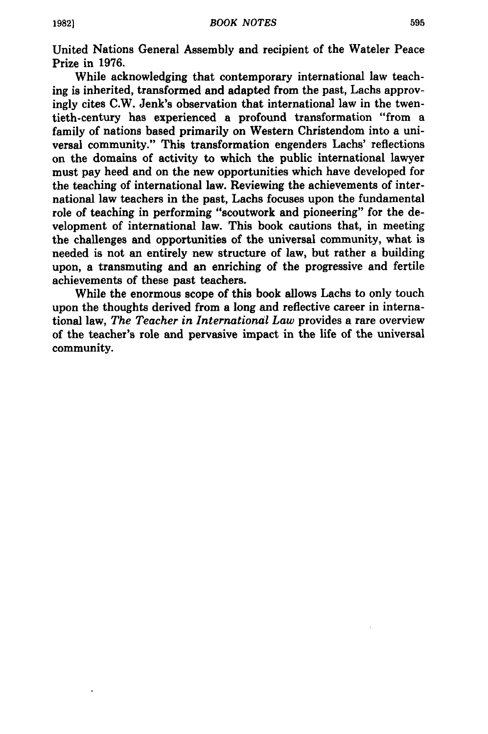United Nations General Assembly and recipient of the Wateler Peace Prize in **1976.**

While acknowledging that contemporary international law teaching is inherited, transformed and adapted from the past, Lachs approvingly cites C.W. Jenk's observation that international law in the twentieth-century has experienced a profound transformation "from a family of nations based primarily on Western Christendom into a universal community." This transformation engenders Lachs' reflections on the domains of activity to which the public international lawyer must pay heed and on the new opportunities which have developed for the teaching of international law. Reviewing the achievements of international law teachers in the past, Lachs focuses upon the fundamental role of teaching in performing "scoutwork and pioneering" for the development of international law. This book cautions that, in meeting the challenges and opportunities of the universal community, what is needed is not an entirely new structure of law, but rather a building upon, a transmuting and an enriching of the progressive and fertile achievements of these past teachers.

While the enormous scope of this book allows Lachs to only touch upon the thoughts derived from a long and reflective career in international law, *The Teacher in International Law* provides a rare overview of the teacher's role and pervasive impact in the life of the universal community.